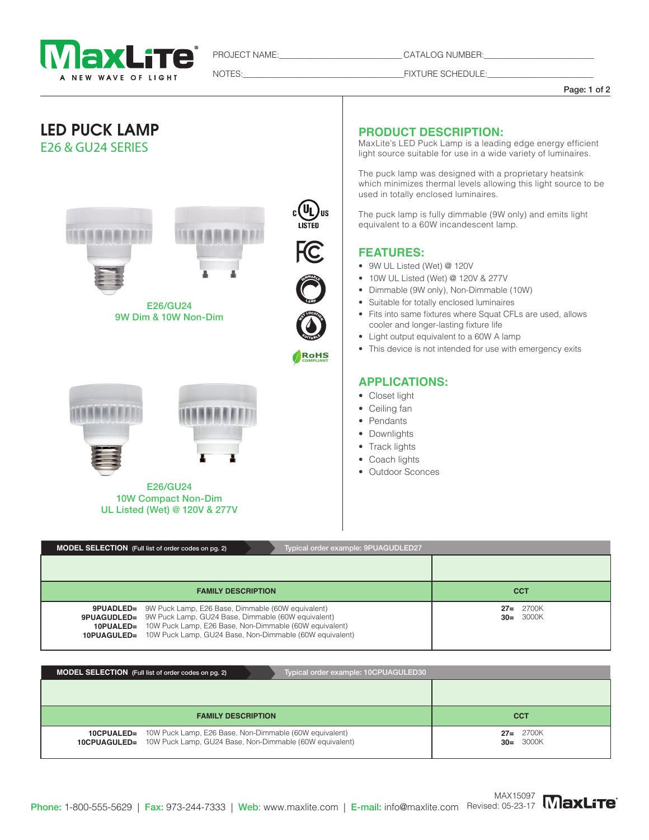

PROJECT NAME: CATALOG NUMBER:

NOTES:\_\_\_\_\_\_\_\_\_\_\_\_\_\_\_\_\_\_\_\_\_\_\_\_\_\_\_\_\_\_\_\_\_\_\_\_\_\_FIXTURE SCHEDULE:\_\_\_\_\_\_\_\_\_\_\_\_\_\_\_\_\_\_\_\_\_\_\_\_\_

Page: 1 of 2



# **PRODUCT DESCRIPTION:**

MaxLite's LED Puck Lamp is a leading edge energy efficient light source suitable for use in a wide variety of luminaires.

The puck lamp was designed with a proprietary heatsink which minimizes thermal levels allowing this light source to be used in totally enclosed luminaires.

The puck lamp is fully dimmable (9W only) and emits light equivalent to a 60W incandescent lamp.

## **FEATURES:**

- 9W UL Listed (Wet) @ 120V
- $\bullet$  10W UL Listed (Wet) @ 120V & 277V
- Dimmable (9W only), Non-Dimmable (10W)
- Suitable for totally enclosed luminaires
- Fits into same fixtures where Squat CFLs are used, allows cooler and longer-lasting fixture life
- Light output equivalent to a 60W A lamp
- This device is not intended for use with emergency exits

### **APPLICATIONS:**

- Closet light
- Ceiling fan
- Pendants
- Downlights
- Track lights
- Coach lights
- Outdoor Sconces

| Typical order example: 9PUAGUDLED27<br><b>MODEL SELECTION</b> (Full list of order codes on pg. 2)                                                                                                                                                                                                    |                              |
|------------------------------------------------------------------------------------------------------------------------------------------------------------------------------------------------------------------------------------------------------------------------------------------------------|------------------------------|
|                                                                                                                                                                                                                                                                                                      |                              |
| <b>FAMILY DESCRIPTION</b>                                                                                                                                                                                                                                                                            | <b>CCT</b>                   |
| <b>9PUADLED=</b> 9W Puck Lamp, E26 Base, Dimmable (60W equivalent)<br><b>9PUAGUDLED=</b> 9W Puck Lamp, GU24 Base, Dimmable (60W equivalent)<br><b>10PUALED=</b> 10W Puck Lamp, E26 Base, Non-Dimmable (60W equivalent)<br><b>10PUAGULED=</b> 10W Puck Lamp, GU24 Base, Non-Dimmable (60W equivalent) | $27 = 2700K$<br>$30 = 3000K$ |

| Typical order example: 10CPUAGULED30<br><b>MODEL SELECTION</b> (Full list of order codes on pg. 2) |            |
|----------------------------------------------------------------------------------------------------|------------|
|                                                                                                    |            |
| <b>FAMILY DESCRIPTION</b>                                                                          | <b>CCT</b> |
|                                                                                                    |            |